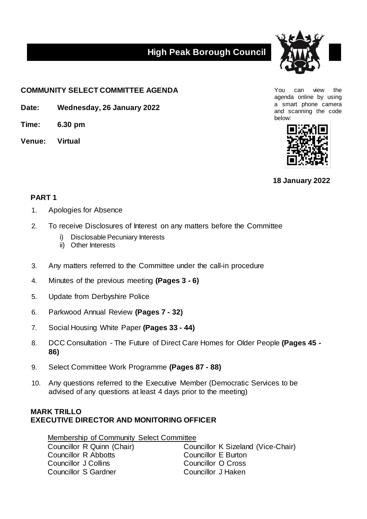## **High Peak Borough Council**



**COMMUNITY SELECT COMMITTEE AGENDA** The state of the state of the state of the state of the state of the state of the state of the state of the state of the state of the state of the state of the state of the state of the

**Date: Wednesday, 26 January 2022**

**Time: 6.30 pm**

**Venue: Virtual**

agenda online by using a smart phone camera and scanning the code below:



**18 January 2022**

## **PART 1**

- 1. Apologies for Absence
- 2. To receive Disclosures of Interest on any matters before the Committee
	- i) Disclosable Pecuniary Interests
	- ii) Other Interests
- 3. Any matters referred to the Committee under the call-in procedure
- 4. Minutes of the previous meeting **(Pages 3 - 6)**
- 5. Update from Derbyshire Police
- 6. Parkwood Annual Review **(Pages 7 - 32)**
- 7. Social Housing White Paper **(Pages 33 - 44)**
- 8. DCC Consultation The Future of Direct Care Homes for Older People **(Pages 45 - 86)**
- 9. Select Committee Work Programme **(Pages 87 - 88)**
- 10. Any questions referred to the Executive Member (Democratic Services to be advised of any questions at least 4 days prior to the meeting)

## **MARK TRILLO EXECUTIVE DIRECTOR AND MONITORING OFFICER**

Membership of Community Select Committee Councillor R Quinn (Chair) Councillor K Sizeland (Vice-Chair) Councillor R Abbotts Councillor E Burton Councillor J Collins Councillor O Cross Councillor S Gardner Councillor J Haken